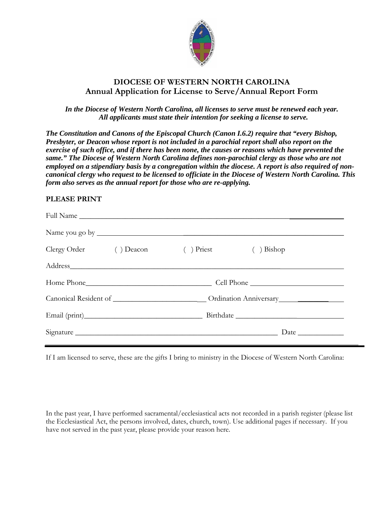

## **DIOCESE OF WESTERN NORTH CAROLINA Annual Application for License to Serve/Annual Report Form**

## *In the Diocese of Western North Carolina, all licenses to serve must be renewed each year. All applicants must state their intention for seeking a license to serve.*

*The Constitution and Canons of the Episcopal Church (Canon I.6.2) require that "every Bishop, Presbyter, or Deacon whose report is not included in a parochial report shall also report on the exercise of such office, and if there has been none, the causes or reasons which have prevented the same." The Diocese of Western North Carolina defines non-parochial clergy as those who are not employed on a stipendiary basis by a congregation within the diocese. A report is also required of noncanonical clergy who request to be licensed to officiate in the Diocese of Western North Carolina. This form also serves as the annual report for those who are re-applying.* 

## **PLEASE PRINT**

| Clergy Order () Deacon | $( )$ Priest                                                                                         | $( )$ Bishop |  |
|------------------------|------------------------------------------------------------------------------------------------------|--------------|--|
|                        |                                                                                                      |              |  |
| Home Phone             | Cell Phone                                                                                           |              |  |
|                        | Canonical Resident of _______________________________Ordination Anniversary_________________________ |              |  |
|                        |                                                                                                      |              |  |
| Signature              |                                                                                                      |              |  |

If I am licensed to serve, these are the gifts I bring to ministry in the Diocese of Western North Carolina:

In the past year, I have performed sacramental/ecclesiastical acts not recorded in a parish register (please list the Ecclesiastical Act, the persons involved, dates, church, town). Use additional pages if necessary. If you have not served in the past year, please provide your reason here.